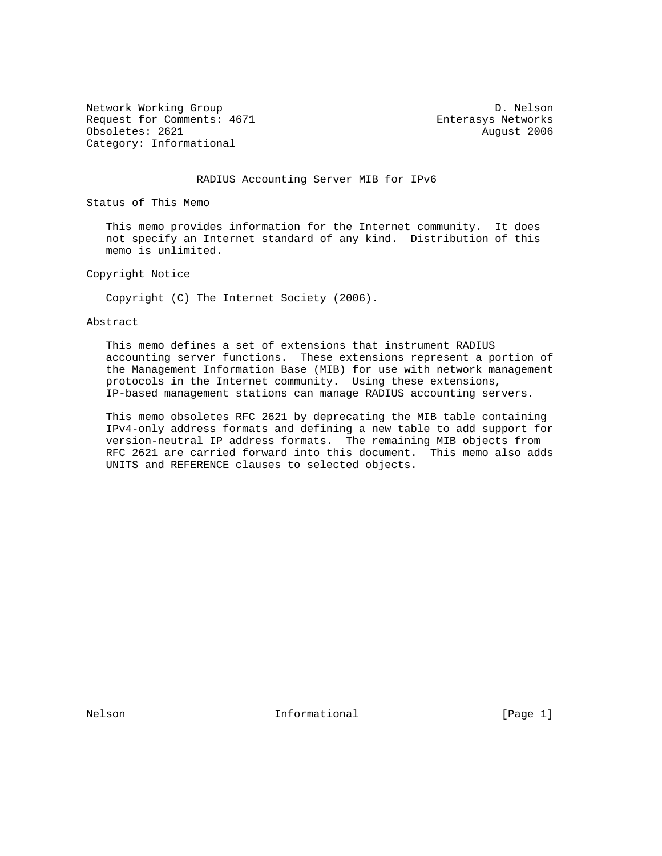Network Working Group Description of the U.S. Nelson D. Nelson Request for Comments: 4671 Enterasys Networks Obsoletes: 2621 August 2006 Category: Informational

#### RADIUS Accounting Server MIB for IPv6

Status of This Memo

 This memo provides information for the Internet community. It does not specify an Internet standard of any kind. Distribution of this memo is unlimited.

Copyright Notice

Copyright (C) The Internet Society (2006).

Abstract

 This memo defines a set of extensions that instrument RADIUS accounting server functions. These extensions represent a portion of the Management Information Base (MIB) for use with network management protocols in the Internet community. Using these extensions, IP-based management stations can manage RADIUS accounting servers.

 This memo obsoletes RFC 2621 by deprecating the MIB table containing IPv4-only address formats and defining a new table to add support for version-neutral IP address formats. The remaining MIB objects from RFC 2621 are carried forward into this document. This memo also adds UNITS and REFERENCE clauses to selected objects.

Nelson **Informational Informational** [Page 1]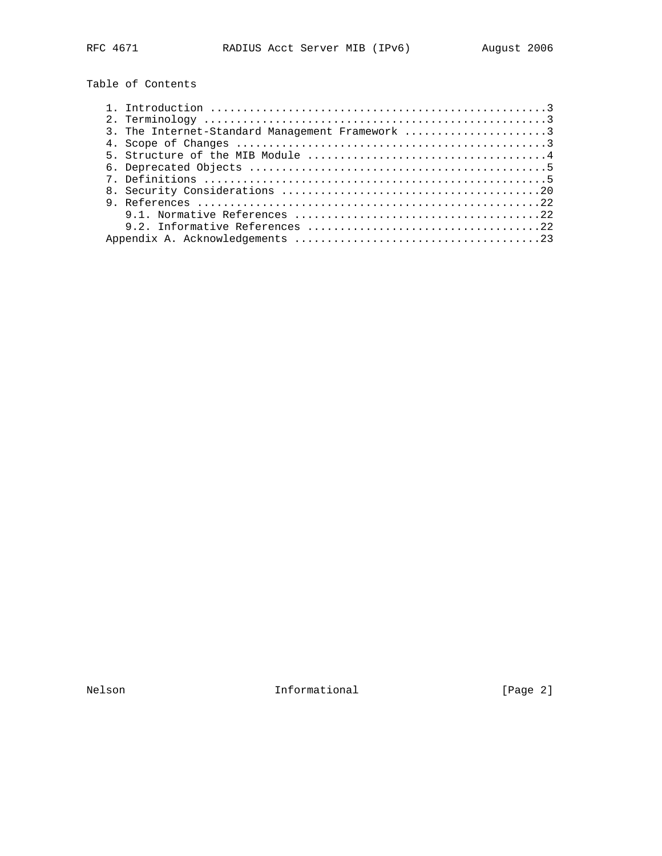Table of Contents

| 3. The Internet-Standard Management Framework 3 |
|-------------------------------------------------|
|                                                 |
|                                                 |
|                                                 |
|                                                 |
|                                                 |
|                                                 |
|                                                 |
|                                                 |
|                                                 |

Nelson **Informational Informational** [Page 2]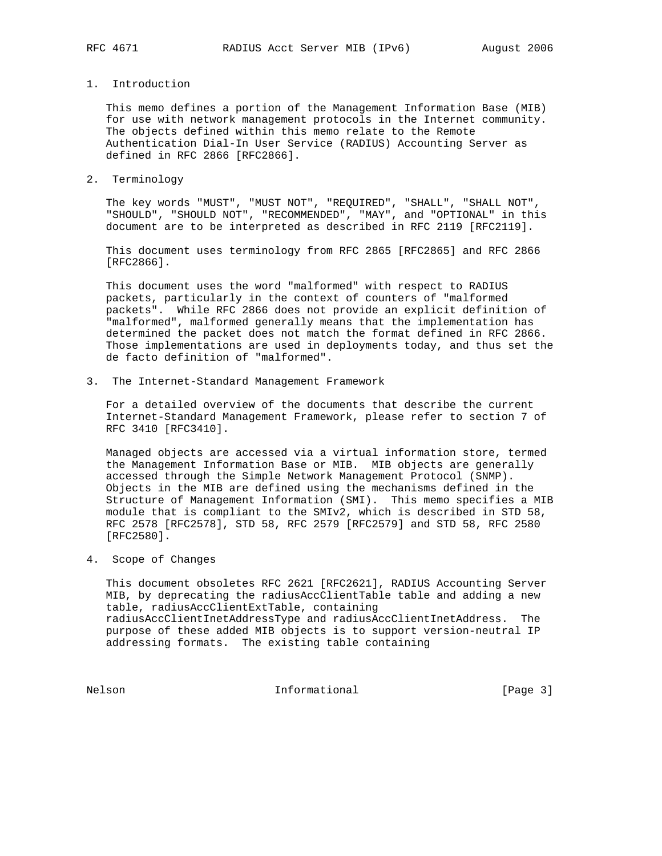### 1. Introduction

 This memo defines a portion of the Management Information Base (MIB) for use with network management protocols in the Internet community. The objects defined within this memo relate to the Remote Authentication Dial-In User Service (RADIUS) Accounting Server as defined in RFC 2866 [RFC2866].

2. Terminology

 The key words "MUST", "MUST NOT", "REQUIRED", "SHALL", "SHALL NOT", "SHOULD", "SHOULD NOT", "RECOMMENDED", "MAY", and "OPTIONAL" in this document are to be interpreted as described in RFC 2119 [RFC2119].

 This document uses terminology from RFC 2865 [RFC2865] and RFC 2866 [RFC2866].

 This document uses the word "malformed" with respect to RADIUS packets, particularly in the context of counters of "malformed packets". While RFC 2866 does not provide an explicit definition of "malformed", malformed generally means that the implementation has determined the packet does not match the format defined in RFC 2866. Those implementations are used in deployments today, and thus set the de facto definition of "malformed".

3. The Internet-Standard Management Framework

 For a detailed overview of the documents that describe the current Internet-Standard Management Framework, please refer to section 7 of RFC 3410 [RFC3410].

 Managed objects are accessed via a virtual information store, termed the Management Information Base or MIB. MIB objects are generally accessed through the Simple Network Management Protocol (SNMP). Objects in the MIB are defined using the mechanisms defined in the Structure of Management Information (SMI). This memo specifies a MIB module that is compliant to the SMIv2, which is described in STD 58, RFC 2578 [RFC2578], STD 58, RFC 2579 [RFC2579] and STD 58, RFC 2580 [RFC2580].

4. Scope of Changes

 This document obsoletes RFC 2621 [RFC2621], RADIUS Accounting Server MIB, by deprecating the radiusAccClientTable table and adding a new table, radiusAccClientExtTable, containing radiusAccClientInetAddressType and radiusAccClientInetAddress. The purpose of these added MIB objects is to support version-neutral IP addressing formats. The existing table containing

Nelson Informational [Page 3]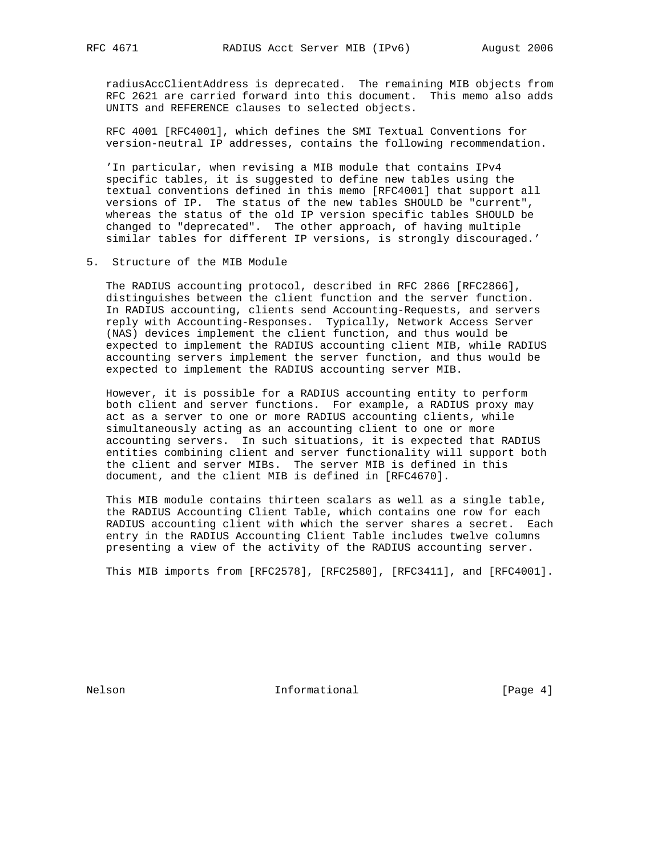radiusAccClientAddress is deprecated. The remaining MIB objects from RFC 2621 are carried forward into this document. This memo also adds UNITS and REFERENCE clauses to selected objects.

 RFC 4001 [RFC4001], which defines the SMI Textual Conventions for version-neutral IP addresses, contains the following recommendation.

 'In particular, when revising a MIB module that contains IPv4 specific tables, it is suggested to define new tables using the textual conventions defined in this memo [RFC4001] that support all versions of IP. The status of the new tables SHOULD be "current", whereas the status of the old IP version specific tables SHOULD be changed to "deprecated". The other approach, of having multiple similar tables for different IP versions, is strongly discouraged.'

5. Structure of the MIB Module

 The RADIUS accounting protocol, described in RFC 2866 [RFC2866], distinguishes between the client function and the server function. In RADIUS accounting, clients send Accounting-Requests, and servers reply with Accounting-Responses. Typically, Network Access Server (NAS) devices implement the client function, and thus would be expected to implement the RADIUS accounting client MIB, while RADIUS accounting servers implement the server function, and thus would be expected to implement the RADIUS accounting server MIB.

 However, it is possible for a RADIUS accounting entity to perform both client and server functions. For example, a RADIUS proxy may act as a server to one or more RADIUS accounting clients, while simultaneously acting as an accounting client to one or more accounting servers. In such situations, it is expected that RADIUS entities combining client and server functionality will support both the client and server MIBs. The server MIB is defined in this document, and the client MIB is defined in [RFC4670].

 This MIB module contains thirteen scalars as well as a single table, the RADIUS Accounting Client Table, which contains one row for each RADIUS accounting client with which the server shares a secret. Each entry in the RADIUS Accounting Client Table includes twelve columns presenting a view of the activity of the RADIUS accounting server.

This MIB imports from [RFC2578], [RFC2580], [RFC3411], and [RFC4001].

Nelson **Informational Informational** [Page 4]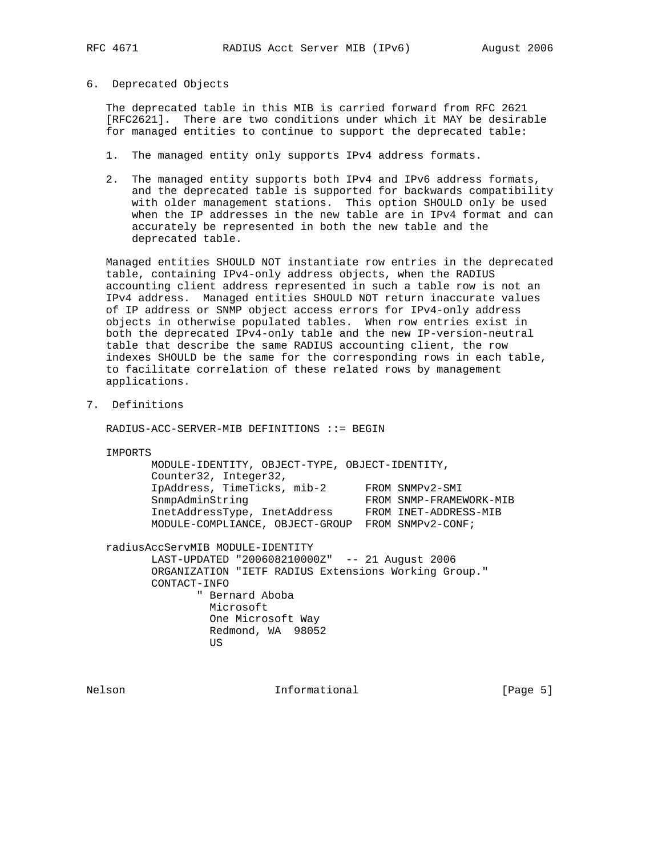6. Deprecated Objects

 The deprecated table in this MIB is carried forward from RFC 2621 [RFC2621]. There are two conditions under which it MAY be desirable for managed entities to continue to support the deprecated table:

- 1. The managed entity only supports IPv4 address formats.
- 2. The managed entity supports both IPv4 and IPv6 address formats, and the deprecated table is supported for backwards compatibility with older management stations. This option SHOULD only be used when the IP addresses in the new table are in IPv4 format and can accurately be represented in both the new table and the deprecated table.

 Managed entities SHOULD NOT instantiate row entries in the deprecated table, containing IPv4-only address objects, when the RADIUS accounting client address represented in such a table row is not an IPv4 address. Managed entities SHOULD NOT return inaccurate values of IP address or SNMP object access errors for IPv4-only address objects in otherwise populated tables. When row entries exist in both the deprecated IPv4-only table and the new IP-version-neutral table that describe the same RADIUS accounting client, the row indexes SHOULD be the same for the corresponding rows in each table, to facilitate correlation of these related rows by management applications.

7. Definitions

RADIUS-ACC-SERVER-MIB DEFINITIONS ::= BEGIN

IMPORTS

| MODULE-IDENTITY, OBJECT-TYPE, OBJECT-IDENTITY, |                         |
|------------------------------------------------|-------------------------|
| Counter32, Integer32,                          |                         |
| IpAddress, TimeTicks, mib-2                    | FROM SNMPv2-SMI         |
| SnmpAdminString                                | FROM SNMP-FRAMEWORK-MIB |
| InetAddressType, InetAddress                   | FROM INET-ADDRESS-MIB   |
| MODULE-COMPLIANCE, OBJECT-GROUP                | FROM SNMPv2-CONF;       |
|                                                |                         |

radiusAccServMIB MODULE-IDENTITY

 LAST-UPDATED "200608210000Z" -- 21 August 2006 ORGANIZATION "IETF RADIUS Extensions Working Group." CONTACT-INFO " Bernard Aboba

 Microsoft One Microsoft Way Redmond, WA 98052 **US** *US* 

Nelson **Informational** Informational [Page 5]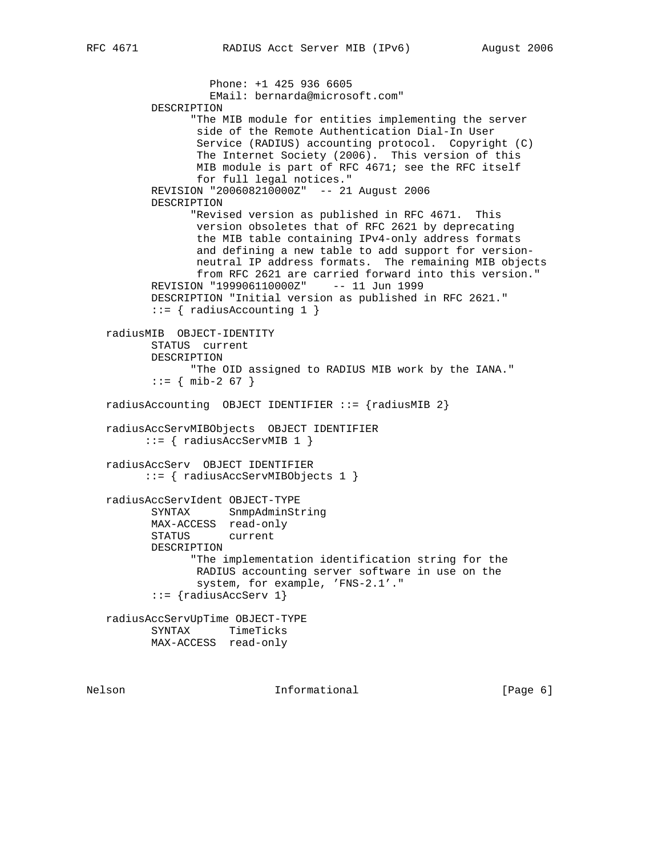Phone: +1 425 936 6605 EMail: bernarda@microsoft.com" DESCRIPTION "The MIB module for entities implementing the server side of the Remote Authentication Dial-In User Service (RADIUS) accounting protocol. Copyright (C) The Internet Society (2006). This version of this MIB module is part of RFC 4671; see the RFC itself for full legal notices." REVISION "200608210000Z" -- 21 August 2006 DESCRIPTION "Revised version as published in RFC 4671. This version obsoletes that of RFC 2621 by deprecating the MIB table containing IPv4-only address formats and defining a new table to add support for version neutral IP address formats. The remaining MIB objects from RFC 2621 are carried forward into this version." REVISION "199906110000Z" -- 11 Jun 1999 DESCRIPTION "Initial version as published in RFC 2621."  $::=$  { radiusAccounting 1 } radiusMIB OBJECT-IDENTITY STATUS current DESCRIPTION "The OID assigned to RADIUS MIB work by the IANA."  $::=$  { mib-2 67 } radiusAccounting OBJECT IDENTIFIER  $::=$  {radiusMIB 2} radiusAccServMIBObjects OBJECT IDENTIFIER ::= { radiusAccServMIB 1 } radiusAccServ OBJECT IDENTIFIER ::= { radiusAccServMIBObjects 1 } radiusAccServIdent OBJECT-TYPE SYNTAX SnmpAdminString MAX-ACCESS read-only STATUS current DESCRIPTION "The implementation identification string for the RADIUS accounting server software in use on the system, for example, 'FNS-2.1'." ::= {radiusAccServ 1} radiusAccServUpTime OBJECT-TYPE SYNTAX TimeTicks MAX-ACCESS read-only

Nelson **Informational Informational** [Page 6]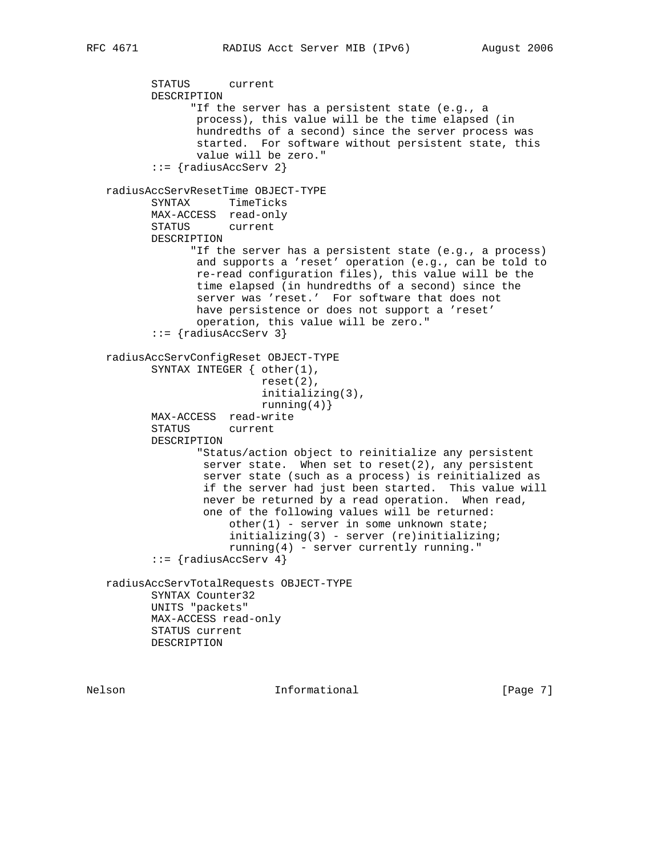STATUS current DESCRIPTION "If the server has a persistent state (e.g., a process), this value will be the time elapsed (in hundredths of a second) since the server process was started. For software without persistent state, this value will be zero." ::= {radiusAccServ 2} radiusAccServResetTime OBJECT-TYPE SYNTAX TimeTicks MAX-ACCESS read-only STATUS current DESCRIPTION "If the server has a persistent state (e.g., a process) and supports a 'reset' operation (e.g., can be told to re-read configuration files), this value will be the time elapsed (in hundredths of a second) since the server was 'reset.' For software that does not have persistence or does not support a 'reset' operation, this value will be zero." ::= {radiusAccServ 3} radiusAccServConfigReset OBJECT-TYPE SYNTAX INTEGER { other(1), reset(2), initializing(3), running $(4)$ } MAX-ACCESS read-write STATUS current DESCRIPTION "Status/action object to reinitialize any persistent server state. When set to reset $(2)$ , any persistent server state (such as a process) is reinitialized as if the server had just been started. This value will never be returned by a read operation. When read, one of the following values will be returned:  $other(1)$  - server in some unknown state; initializing(3) - server (re)initializing; running(4) - server currently running."  $::= \{radiansAccesserv 4\}$  radiusAccServTotalRequests OBJECT-TYPE SYNTAX Counter32 UNITS "packets" MAX-ACCESS read-only STATUS current DESCRIPTION

Nelson **Informational Informational** [Page 7]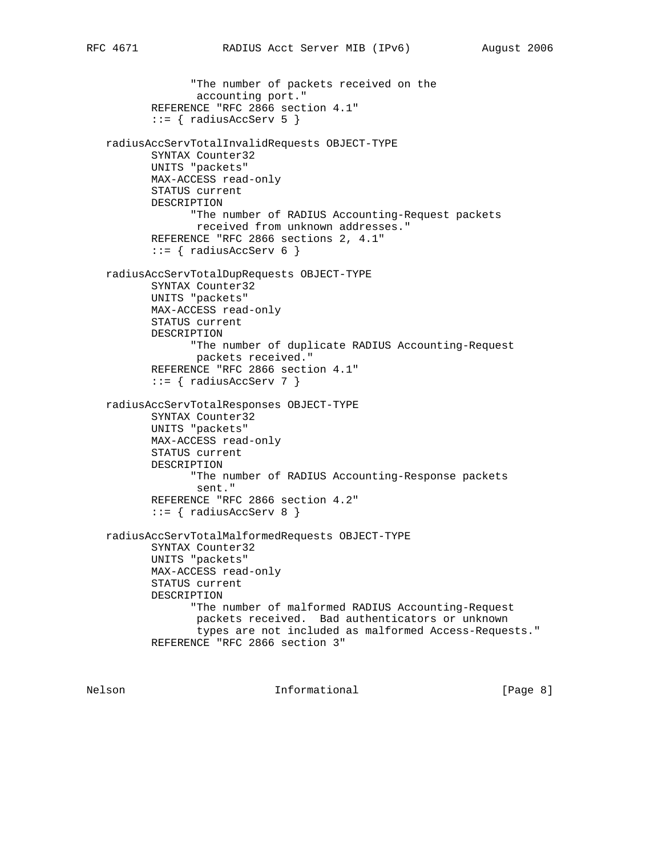```
 "The number of packets received on the
               accounting port."
        REFERENCE "RFC 2866 section 4.1"
       ::= { radiusAccServ 5 }
 radiusAccServTotalInvalidRequests OBJECT-TYPE
        SYNTAX Counter32
        UNITS "packets"
        MAX-ACCESS read-only
        STATUS current
        DESCRIPTION
              "The number of RADIUS Accounting-Request packets
              received from unknown addresses."
        REFERENCE "RFC 2866 sections 2, 4.1"
       ::= { radiusAccServ 6 }
 radiusAccServTotalDupRequests OBJECT-TYPE
        SYNTAX Counter32
        UNITS "packets"
        MAX-ACCESS read-only
        STATUS current
        DESCRIPTION
              "The number of duplicate RADIUS Accounting-Request
               packets received."
        REFERENCE "RFC 2866 section 4.1"
       ::= { radiusAccServ 7 }
 radiusAccServTotalResponses OBJECT-TYPE
        SYNTAX Counter32
        UNITS "packets"
        MAX-ACCESS read-only
        STATUS current
        DESCRIPTION
              "The number of RADIUS Accounting-Response packets
               sent."
        REFERENCE "RFC 2866 section 4.2"
       ::= { radiusAccServ 8 }
 radiusAccServTotalMalformedRequests OBJECT-TYPE
        SYNTAX Counter32
        UNITS "packets"
        MAX-ACCESS read-only
        STATUS current
        DESCRIPTION
              "The number of malformed RADIUS Accounting-Request
               packets received. Bad authenticators or unknown
               types are not included as malformed Access-Requests."
        REFERENCE "RFC 2866 section 3"
```
Nelson **Informational Informational Informational I**Page 8]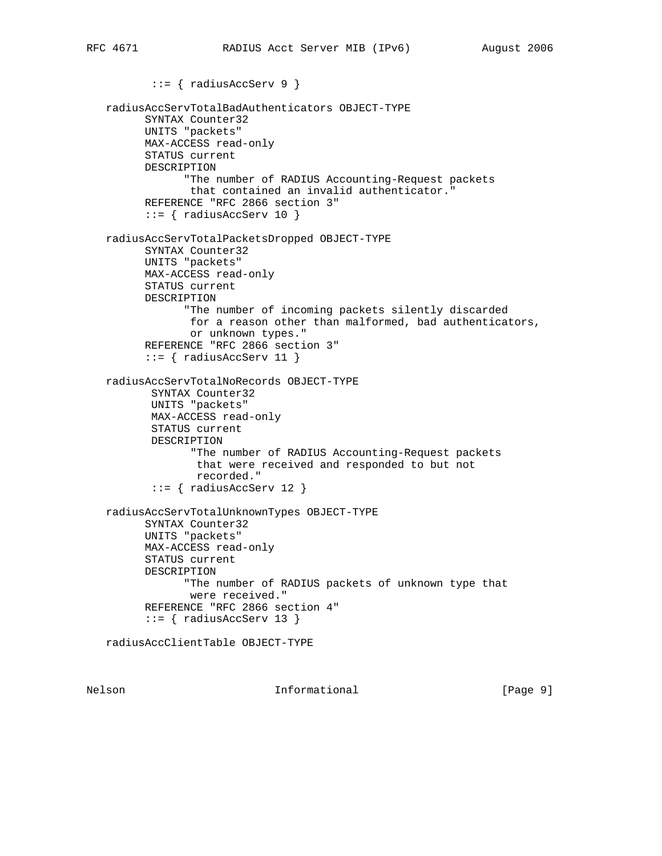```
 ::= { radiusAccServ 9 }
 radiusAccServTotalBadAuthenticators OBJECT-TYPE
       SYNTAX Counter32
       UNITS "packets"
       MAX-ACCESS read-only
       STATUS current
       DESCRIPTION
             "The number of RADIUS Accounting-Request packets
              that contained an invalid authenticator."
       REFERENCE "RFC 2866 section 3"
      ::= { radiusAccServ 10 }
 radiusAccServTotalPacketsDropped OBJECT-TYPE
       SYNTAX Counter32
       UNITS "packets"
       MAX-ACCESS read-only
       STATUS current
       DESCRIPTION
             "The number of incoming packets silently discarded
              for a reason other than malformed, bad authenticators,
              or unknown types."
       REFERENCE "RFC 2866 section 3"
      ::= { radiusAccServ 11 }
 radiusAccServTotalNoRecords OBJECT-TYPE
        SYNTAX Counter32
        UNITS "packets"
        MAX-ACCESS read-only
        STATUS current
        DESCRIPTION
              "The number of RADIUS Accounting-Request packets
               that were received and responded to but not
               recorded."
        ::= { radiusAccServ 12 }
 radiusAccServTotalUnknownTypes OBJECT-TYPE
       SYNTAX Counter32
       UNITS "packets"
       MAX-ACCESS read-only
       STATUS current
       DESCRIPTION
             "The number of RADIUS packets of unknown type that
              were received."
       REFERENCE "RFC 2866 section 4"
      ::= { radiusAccServ 13 }
 radiusAccClientTable OBJECT-TYPE
```
Nelson **Informational Informational** [Page 9]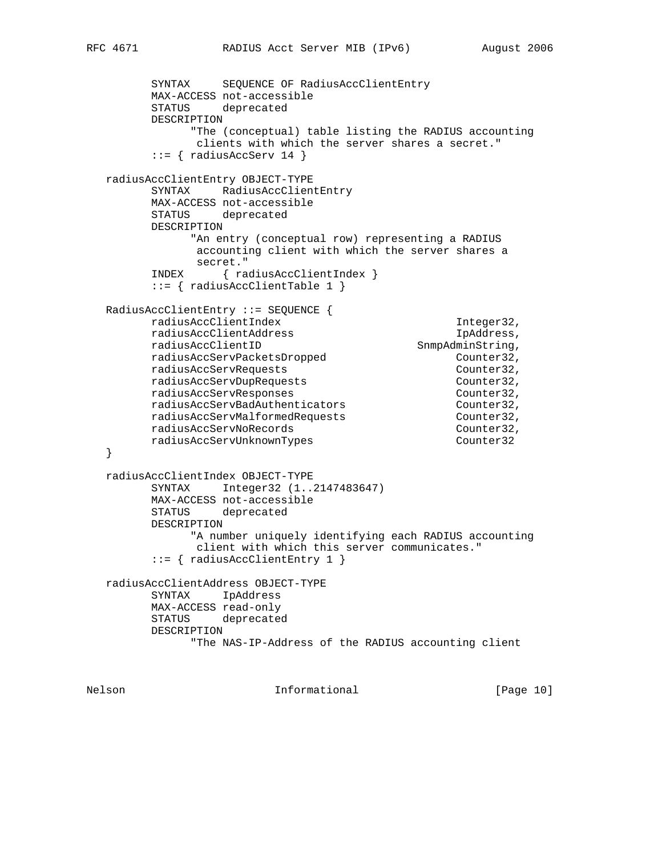```
 SYNTAX SEQUENCE OF RadiusAccClientEntry
         MAX-ACCESS not-accessible
         STATUS deprecated
         DESCRIPTION
               "The (conceptual) table listing the RADIUS accounting
                clients with which the server shares a secret."
         ::= { radiusAccServ 14 }
   radiusAccClientEntry OBJECT-TYPE
         SYNTAX RadiusAccClientEntry
         MAX-ACCESS not-accessible
         STATUS deprecated
         DESCRIPTION
               "An entry (conceptual row) representing a RADIUS
               accounting client with which the server shares a
               secret."
         INDEX { radiusAccClientIndex }
         ::= { radiusAccClientTable 1 }
   RadiusAccClientEntry ::= SEQUENCE {
        radiusAccClientIndex 1nteger32,
        radiusAccClientAddress IpAddress,<br>
radiusAccClientID SnmpAdminString,
                                        SnmpAdminString,
         radiusAccServPacketsDropped Counter32,
        radiusAccServRequests Counter32,
        radiusAccServDupRequests<br>
radiusAccServDupRequests Counter32,<br>
counter32,
         radiusAccServResponses Counter32,
 radiusAccServBadAuthenticators Counter32,
 radiusAccServMalformedRequests Counter32,
        radiusAccServNoRecords counter32,
        radiusAccServUnknownTypes Counter32
   }
   radiusAccClientIndex OBJECT-TYPE
         SYNTAX Integer32 (1..2147483647)
         MAX-ACCESS not-accessible
         STATUS deprecated
         DESCRIPTION
               "A number uniquely identifying each RADIUS accounting
               client with which this server communicates."
          ::= { radiusAccClientEntry 1 }
   radiusAccClientAddress OBJECT-TYPE
         SYNTAX IpAddress
         MAX-ACCESS read-only
         STATUS deprecated
         DESCRIPTION
               "The NAS-IP-Address of the RADIUS accounting client
```
Nelson **Informational Informational** [Page 10]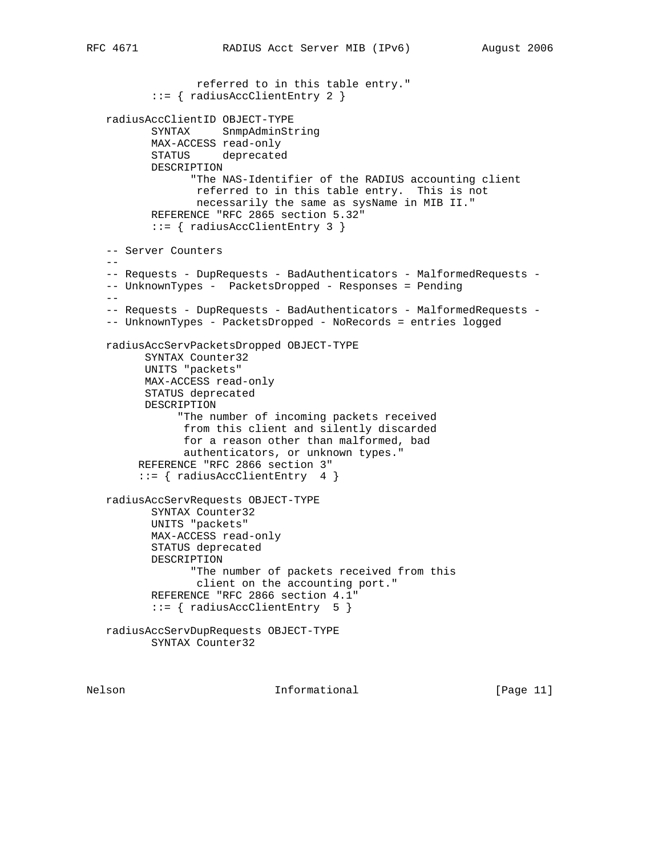```
 referred to in this table entry."
           ::= { radiusAccClientEntry 2 }
   radiusAccClientID OBJECT-TYPE
           SYNTAX SnmpAdminString
           MAX-ACCESS read-only
           STATUS deprecated
          DESCRIPTION
                 "The NAS-Identifier of the RADIUS accounting client
                 referred to in this table entry. This is not
                 necessarily the same as sysName in MIB II."
           REFERENCE "RFC 2865 section 5.32"
           ::= { radiusAccClientEntry 3 }
    -- Server Counters
 --
   -- Requests - DupRequests - BadAuthenticators - MalformedRequests -
   -- UnknownTypes - PacketsDropped - Responses = Pending
  - -- Requests - DupRequests - BadAuthenticators - MalformedRequests -
   -- UnknownTypes - PacketsDropped - NoRecords = entries logged
   radiusAccServPacketsDropped OBJECT-TYPE
         SYNTAX Counter32
         UNITS "packets"
         MAX-ACCESS read-only
         STATUS deprecated
         DESCRIPTION
               "The number of incoming packets received
                from this client and silently discarded
                for a reason other than malformed, bad
                authenticators, or unknown types."
        REFERENCE "RFC 2866 section 3"
         ::= { radiusAccClientEntry 4 }
   radiusAccServRequests OBJECT-TYPE
          SYNTAX Counter32
          UNITS "packets"
          MAX-ACCESS read-only
           STATUS deprecated
          DESCRIPTION
                 "The number of packets received from this
                  client on the accounting port."
           REFERENCE "RFC 2866 section 4.1"
           ::= { radiusAccClientEntry 5 }
   radiusAccServDupRequests OBJECT-TYPE
          SYNTAX Counter32
```
Nelson **Informational Informational** [Page 11]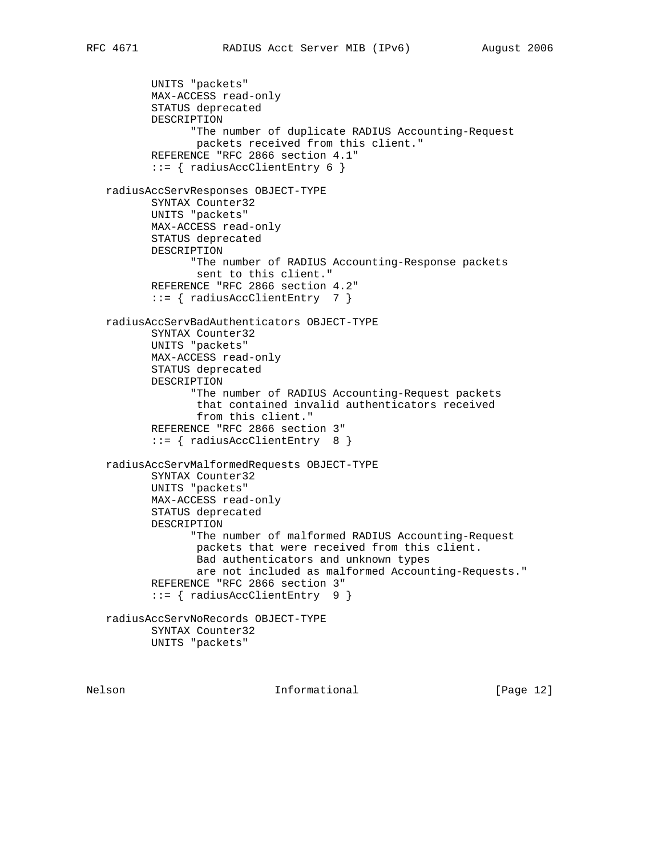UNITS "packets" MAX-ACCESS read-only STATUS deprecated DESCRIPTION "The number of duplicate RADIUS Accounting-Request packets received from this client." REFERENCE "RFC 2866 section 4.1" ::= { radiusAccClientEntry 6 } radiusAccServResponses OBJECT-TYPE SYNTAX Counter32 UNITS "packets" MAX-ACCESS read-only STATUS deprecated DESCRIPTION "The number of RADIUS Accounting-Response packets sent to this client." REFERENCE "RFC 2866 section 4.2" ::= { radiusAccClientEntry 7 } radiusAccServBadAuthenticators OBJECT-TYPE SYNTAX Counter32 UNITS "packets" MAX-ACCESS read-only STATUS deprecated DESCRIPTION "The number of RADIUS Accounting-Request packets that contained invalid authenticators received from this client." REFERENCE "RFC 2866 section 3" ::= { radiusAccClientEntry 8 } radiusAccServMalformedRequests OBJECT-TYPE SYNTAX Counter32 UNITS "packets" MAX-ACCESS read-only STATUS deprecated DESCRIPTION "The number of malformed RADIUS Accounting-Request packets that were received from this client. Bad authenticators and unknown types are not included as malformed Accounting-Requests." REFERENCE "RFC 2866 section 3" ::= { radiusAccClientEntry 9 } radiusAccServNoRecords OBJECT-TYPE SYNTAX Counter32 UNITS "packets"

Nelson **Informational Informational** [Page 12]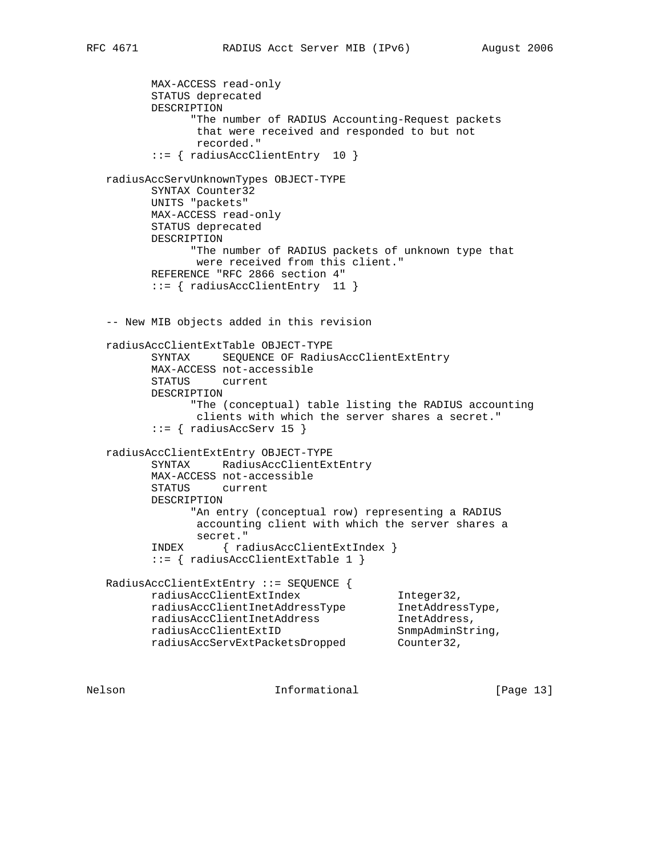MAX-ACCESS read-only STATUS deprecated DESCRIPTION "The number of RADIUS Accounting-Request packets that were received and responded to but not recorded." ::= { radiusAccClientEntry 10 } radiusAccServUnknownTypes OBJECT-TYPE SYNTAX Counter32 UNITS "packets" MAX-ACCESS read-only STATUS deprecated DESCRIPTION "The number of RADIUS packets of unknown type that were received from this client." REFERENCE "RFC 2866 section 4" ::= { radiusAccClientEntry 11 } -- New MIB objects added in this revision radiusAccClientExtTable OBJECT-TYPE SYNTAX SEQUENCE OF RadiusAccClientExtEntry MAX-ACCESS not-accessible STATUS current DESCRIPTION "The (conceptual) table listing the RADIUS accounting clients with which the server shares a secret."  $::=$  { radiusAccServ 15 } radiusAccClientExtEntry OBJECT-TYPE SYNTAX RadiusAccClientExtEntry MAX-ACCESS not-accessible STATUS current DESCRIPTION "An entry (conceptual row) representing a RADIUS accounting client with which the server shares a secret." INDEX { radiusAccClientExtIndex } ::= { radiusAccClientExtTable 1 } RadiusAccClientExtEntry ::= SEQUENCE { radiusAccClientExtIndex Integer32, radiusAccClientInetAddressType InetAddressType, radiusAccClientInetAddress inetAddress, radiusAccClientExtID SnmpAdminString, radiusAccServExtPacketsDropped Counter32,

Nelson **Informational Informational** [Page 13]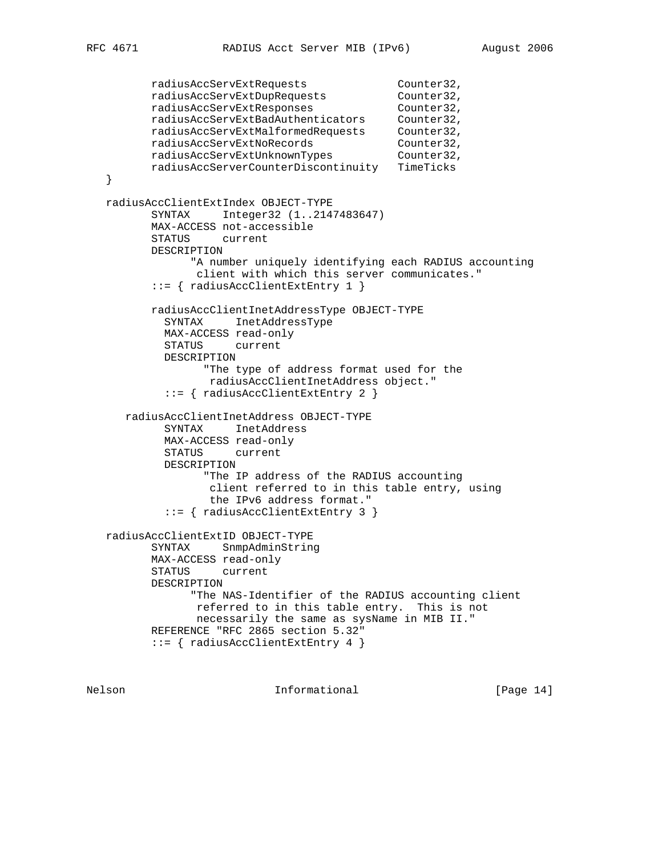```
 radiusAccServExtRequests Counter32,
 radiusAccServExtDupRequests Counter32,
radiusAccServExtResponses Counter32,
 radiusAccServExtBadAuthenticators Counter32,
 radiusAccServExtMalformedRequests Counter32,
 radiusAccServExtNoRecords Counter32,
radiusAccServExtUnknownTypes Counter32,
         radiusAccServerCounterDiscontinuity TimeTicks
   }
   radiusAccClientExtIndex OBJECT-TYPE
         SYNTAX Integer32 (1..2147483647)
         MAX-ACCESS not-accessible
         STATUS current
         DESCRIPTION
               "A number uniquely identifying each RADIUS accounting
               client with which this server communicates."
         ::= { radiusAccClientExtEntry 1 }
         radiusAccClientInetAddressType OBJECT-TYPE
           SYNTAX InetAddressType
           MAX-ACCESS read-only
           STATUS current
           DESCRIPTION
                 "The type of address format used for the
                  radiusAccClientInetAddress object."
           ::= { radiusAccClientExtEntry 2 }
      radiusAccClientInetAddress OBJECT-TYPE
           SYNTAX InetAddress
           MAX-ACCESS read-only
           STATUS current
           DESCRIPTION
                 "The IP address of the RADIUS accounting
                  client referred to in this table entry, using
                  the IPv6 address format."
           ::= { radiusAccClientExtEntry 3 }
   radiusAccClientExtID OBJECT-TYPE
         SYNTAX SnmpAdminString
         MAX-ACCESS read-only
         STATUS current
         DESCRIPTION
               "The NAS-Identifier of the RADIUS accounting client
               referred to in this table entry. This is not
               necessarily the same as sysName in MIB II."
         REFERENCE "RFC 2865 section 5.32"
         ::= { radiusAccClientExtEntry 4 }
```
Nelson **Informational Informational** [Page 14]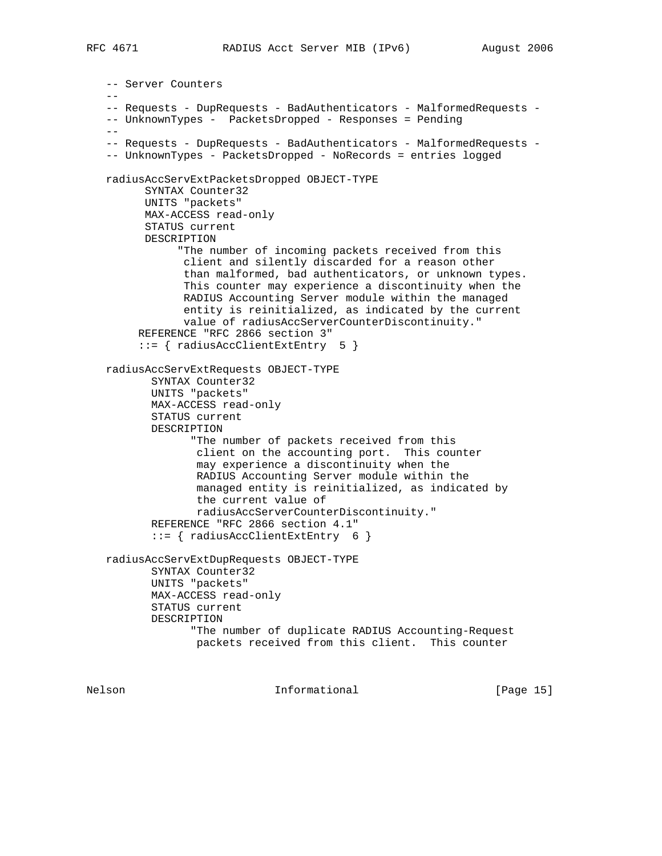```
 -- Server Counters
 --
    -- Requests - DupRequests - BadAuthenticators - MalformedRequests -
   -- UnknownTypes - PacketsDropped - Responses = Pending
 --
   -- Requests - DupRequests - BadAuthenticators - MalformedRequests -
   -- UnknownTypes - PacketsDropped - NoRecords = entries logged
   radiusAccServExtPacketsDropped OBJECT-TYPE
         SYNTAX Counter32
         UNITS "packets"
         MAX-ACCESS read-only
         STATUS current
         DESCRIPTION
               "The number of incoming packets received from this
                client and silently discarded for a reason other
                than malformed, bad authenticators, or unknown types.
                This counter may experience a discontinuity when the
                RADIUS Accounting Server module within the managed
                entity is reinitialized, as indicated by the current
                value of radiusAccServerCounterDiscontinuity."
        REFERENCE "RFC 2866 section 3"
         ::= { radiusAccClientExtEntry 5 }
   radiusAccServExtRequests OBJECT-TYPE
           SYNTAX Counter32
           UNITS "packets"
           MAX-ACCESS read-only
           STATUS current
           DESCRIPTION
                 "The number of packets received from this
                  client on the accounting port. This counter
                  may experience a discontinuity when the
                  RADIUS Accounting Server module within the
                  managed entity is reinitialized, as indicated by
                  the current value of
                  radiusAccServerCounterDiscontinuity."
           REFERENCE "RFC 2866 section 4.1"
           ::= { radiusAccClientExtEntry 6 }
   radiusAccServExtDupRequests OBJECT-TYPE
          SYNTAX Counter32
```
 UNITS "packets" MAX-ACCESS read-only STATUS current DESCRIPTION "The number of duplicate RADIUS Accounting-Request packets received from this client. This counter

Nelson **Informational Informational** [Page 15]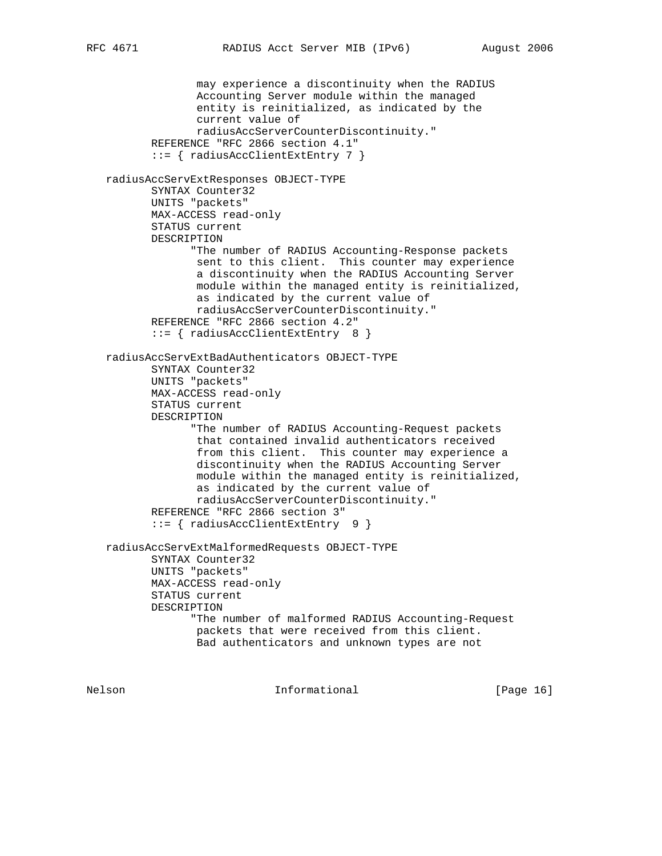may experience a discontinuity when the RADIUS Accounting Server module within the managed entity is reinitialized, as indicated by the current value of radiusAccServerCounterDiscontinuity." REFERENCE "RFC 2866 section 4.1" ::= { radiusAccClientExtEntry 7 } radiusAccServExtResponses OBJECT-TYPE SYNTAX Counter32 UNITS "packets" MAX-ACCESS read-only STATUS current DESCRIPTION "The number of RADIUS Accounting-Response packets sent to this client. This counter may experience a discontinuity when the RADIUS Accounting Server module within the managed entity is reinitialized, as indicated by the current value of radiusAccServerCounterDiscontinuity." REFERENCE "RFC 2866 section 4.2" ::= { radiusAccClientExtEntry 8 } radiusAccServExtBadAuthenticators OBJECT-TYPE SYNTAX Counter32 UNITS "packets" MAX-ACCESS read-only STATUS current DESCRIPTION "The number of RADIUS Accounting-Request packets that contained invalid authenticators received from this client. This counter may experience a discontinuity when the RADIUS Accounting Server module within the managed entity is reinitialized, as indicated by the current value of radiusAccServerCounterDiscontinuity." REFERENCE "RFC 2866 section 3" ::= { radiusAccClientExtEntry 9 } radiusAccServExtMalformedRequests OBJECT-TYPE SYNTAX Counter32 UNITS "packets" MAX-ACCESS read-only STATUS current DESCRIPTION "The number of malformed RADIUS Accounting-Request packets that were received from this client. Bad authenticators and unknown types are not

Nelson **Informational Informational** [Page 16]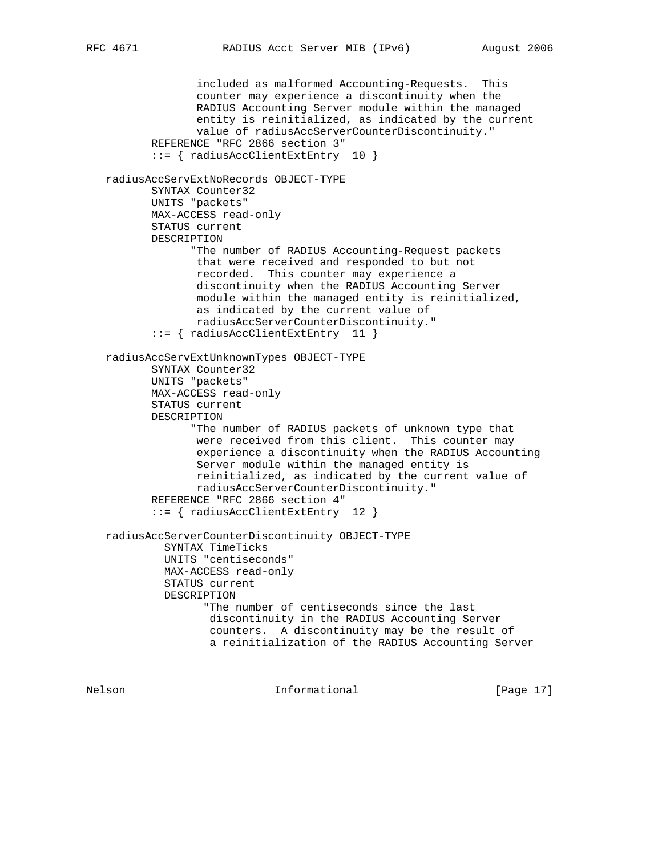included as malformed Accounting-Requests. This counter may experience a discontinuity when the RADIUS Accounting Server module within the managed entity is reinitialized, as indicated by the current value of radiusAccServerCounterDiscontinuity." REFERENCE "RFC 2866 section 3" ::= { radiusAccClientExtEntry 10 } radiusAccServExtNoRecords OBJECT-TYPE SYNTAX Counter32 UNITS "packets" MAX-ACCESS read-only STATUS current DESCRIPTION "The number of RADIUS Accounting-Request packets that were received and responded to but not recorded. This counter may experience a discontinuity when the RADIUS Accounting Server module within the managed entity is reinitialized, as indicated by the current value of radiusAccServerCounterDiscontinuity." ::= { radiusAccClientExtEntry 11 } radiusAccServExtUnknownTypes OBJECT-TYPE SYNTAX Counter32 UNITS "packets" MAX-ACCESS read-only STATUS current DESCRIPTION "The number of RADIUS packets of unknown type that were received from this client. This counter may experience a discontinuity when the RADIUS Accounting Server module within the managed entity is reinitialized, as indicated by the current value of radiusAccServerCounterDiscontinuity." REFERENCE "RFC 2866 section 4" ::= { radiusAccClientExtEntry 12 } radiusAccServerCounterDiscontinuity OBJECT-TYPE SYNTAX TimeTicks UNITS "centiseconds" MAX-ACCESS read-only STATUS current DESCRIPTION "The number of centiseconds since the last discontinuity in the RADIUS Accounting Server counters. A discontinuity may be the result of a reinitialization of the RADIUS Accounting Server

Nelson **Informational Informational** [Page 17]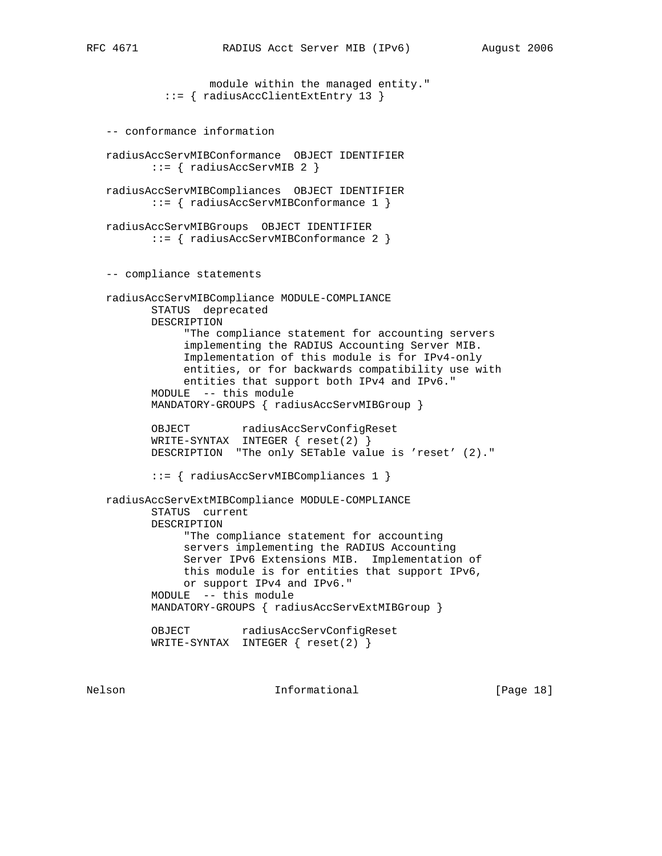```
 module within the managed entity."
          ::= { radiusAccClientExtEntry 13 }
 -- conformance information
 radiusAccServMIBConformance OBJECT IDENTIFIER
        ::= { radiusAccServMIB 2 }
 radiusAccServMIBCompliances OBJECT IDENTIFIER
        ::= { radiusAccServMIBConformance 1 }
 radiusAccServMIBGroups OBJECT IDENTIFIER
        ::= { radiusAccServMIBConformance 2 }
 -- compliance statements
 radiusAccServMIBCompliance MODULE-COMPLIANCE
        STATUS deprecated
        DESCRIPTION
             "The compliance statement for accounting servers
             implementing the RADIUS Accounting Server MIB.
             Implementation of this module is for IPv4-only
             entities, or for backwards compatibility use with
             entities that support both IPv4 and IPv6."
        MODULE -- this module
        MANDATORY-GROUPS { radiusAccServMIBGroup }
       OBJECT radiusAccServConfigReset
        WRITE-SYNTAX INTEGER { reset(2) }
        DESCRIPTION "The only SETable value is 'reset' (2)."
        ::= { radiusAccServMIBCompliances 1 }
 radiusAccServExtMIBCompliance MODULE-COMPLIANCE
        STATUS current
        DESCRIPTION
             "The compliance statement for accounting
             servers implementing the RADIUS Accounting
             Server IPv6 Extensions MIB. Implementation of
             this module is for entities that support IPv6,
             or support IPv4 and IPv6."
        MODULE -- this module
        MANDATORY-GROUPS { radiusAccServExtMIBGroup }
        OBJECT radiusAccServConfigReset
        WRITE-SYNTAX INTEGER { reset(2) }
```
Nelson **Informational Informational** [Page 18]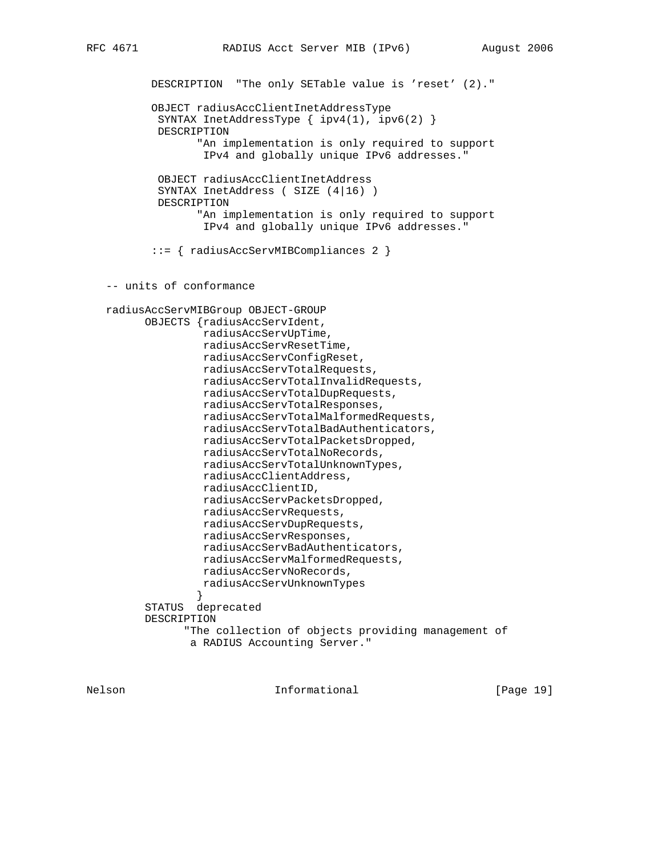DESCRIPTION "The only SETable value is 'reset' (2)." OBJECT radiusAccClientInetAddressType SYNTAX InetAddressType { ipv4(1), ipv6(2) } DESCRIPTION "An implementation is only required to support IPv4 and globally unique IPv6 addresses." OBJECT radiusAccClientInetAddress SYNTAX InetAddress ( SIZE (4|16) ) DESCRIPTION "An implementation is only required to support IPv4 and globally unique IPv6 addresses." ::= { radiusAccServMIBCompliances 2 } -- units of conformance radiusAccServMIBGroup OBJECT-GROUP OBJECTS {radiusAccServIdent, radiusAccServUpTime, radiusAccServResetTime, radiusAccServConfigReset, radiusAccServTotalRequests, radiusAccServTotalInvalidRequests, radiusAccServTotalDupRequests, radiusAccServTotalResponses, radiusAccServTotalMalformedRequests, radiusAccServTotalBadAuthenticators, radiusAccServTotalPacketsDropped, radiusAccServTotalNoRecords, radiusAccServTotalUnknownTypes, radiusAccClientAddress, radiusAccClientID, radiusAccServPacketsDropped, radiusAccServRequests, radiusAccServDupRequests, radiusAccServResponses, radiusAccServBadAuthenticators, radiusAccServMalformedRequests, radiusAccServNoRecords, radiusAccServUnknownTypes } STATUS deprecated DESCRIPTION "The collection of objects providing management of a RADIUS Accounting Server."

Nelson **Informational Informational** [Page 19]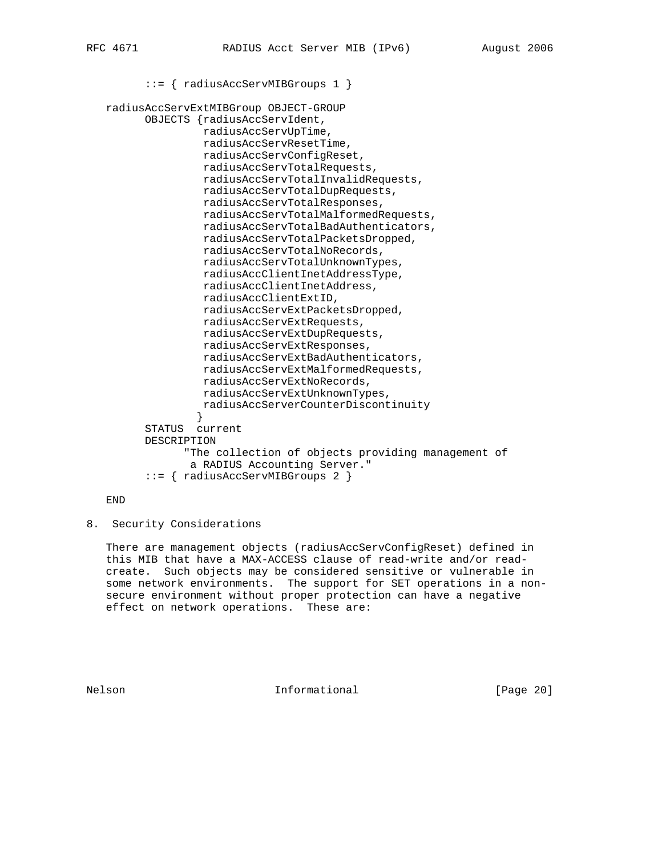::= { radiusAccServMIBGroups 1 } radiusAccServExtMIBGroup OBJECT-GROUP OBJECTS {radiusAccServIdent, radiusAccServUpTime, radiusAccServResetTime, radiusAccServConfigReset, radiusAccServTotalRequests, radiusAccServTotalInvalidRequests, radiusAccServTotalDupRequests, radiusAccServTotalResponses, radiusAccServTotalMalformedRequests, radiusAccServTotalBadAuthenticators, radiusAccServTotalPacketsDropped, radiusAccServTotalNoRecords, radiusAccServTotalUnknownTypes, radiusAccClientInetAddressType, radiusAccClientInetAddress, radiusAccClientExtID, radiusAccServExtPacketsDropped, radiusAccServExtRequests, radiusAccServExtDupRequests, radiusAccServExtResponses, radiusAccServExtBadAuthenticators, radiusAccServExtMalformedRequests, radiusAccServExtNoRecords, radiusAccServExtUnknownTypes, radiusAccServerCounterDiscontinuity } STATUS current DESCRIPTION "The collection of objects providing management of a RADIUS Accounting Server." ::= { radiusAccServMIBGroups 2 }

END

8. Security Considerations

 There are management objects (radiusAccServConfigReset) defined in this MIB that have a MAX-ACCESS clause of read-write and/or read create. Such objects may be considered sensitive or vulnerable in some network environments. The support for SET operations in a non secure environment without proper protection can have a negative effect on network operations. These are:

Nelson **Informational Informational** [Page 20]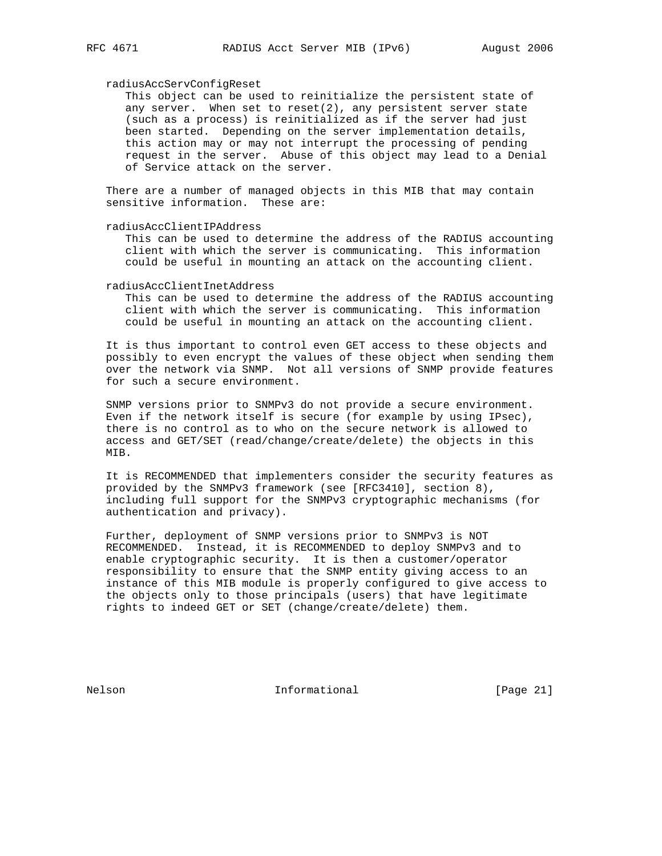#### radiusAccServConfigReset

 This object can be used to reinitialize the persistent state of any server. When set to reset $(2)$ , any persistent server state (such as a process) is reinitialized as if the server had just been started. Depending on the server implementation details, this action may or may not interrupt the processing of pending request in the server. Abuse of this object may lead to a Denial of Service attack on the server.

 There are a number of managed objects in this MIB that may contain sensitive information. These are:

radiusAccClientIPAddress

 This can be used to determine the address of the RADIUS accounting client with which the server is communicating. This information could be useful in mounting an attack on the accounting client.

radiusAccClientInetAddress

 This can be used to determine the address of the RADIUS accounting client with which the server is communicating. This information could be useful in mounting an attack on the accounting client.

 It is thus important to control even GET access to these objects and possibly to even encrypt the values of these object when sending them over the network via SNMP. Not all versions of SNMP provide features for such a secure environment.

 SNMP versions prior to SNMPv3 do not provide a secure environment. Even if the network itself is secure (for example by using IPsec), there is no control as to who on the secure network is allowed to access and GET/SET (read/change/create/delete) the objects in this MIB.

 It is RECOMMENDED that implementers consider the security features as provided by the SNMPv3 framework (see [RFC3410], section 8), including full support for the SNMPv3 cryptographic mechanisms (for authentication and privacy).

 Further, deployment of SNMP versions prior to SNMPv3 is NOT RECOMMENDED. Instead, it is RECOMMENDED to deploy SNMPv3 and to enable cryptographic security. It is then a customer/operator responsibility to ensure that the SNMP entity giving access to an instance of this MIB module is properly configured to give access to the objects only to those principals (users) that have legitimate rights to indeed GET or SET (change/create/delete) them.

Nelson **Informational Informational** [Page 21]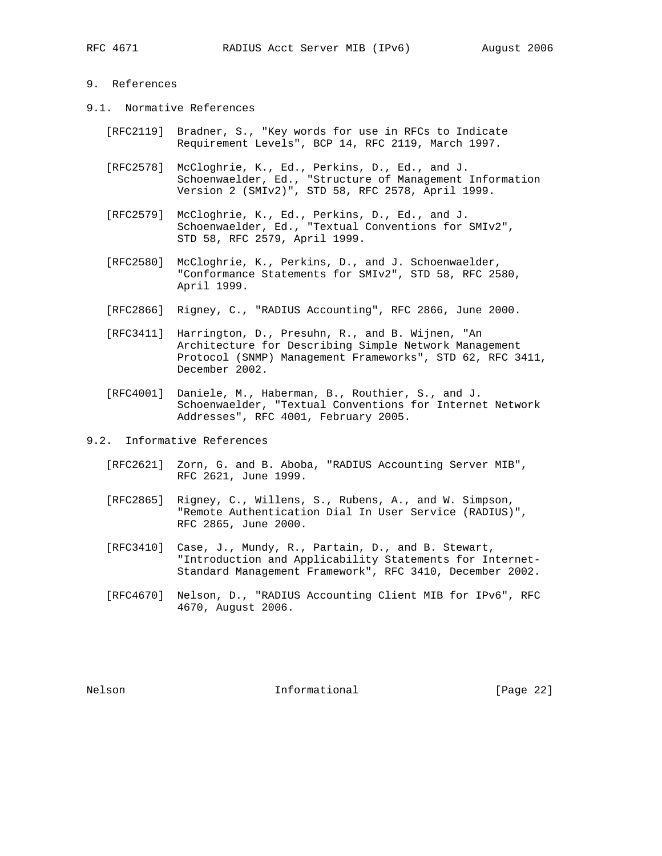## 9. References

- 9.1. Normative References
	- [RFC2119] Bradner, S., "Key words for use in RFCs to Indicate Requirement Levels", BCP 14, RFC 2119, March 1997.
	- [RFC2578] McCloghrie, K., Ed., Perkins, D., Ed., and J. Schoenwaelder, Ed., "Structure of Management Information Version 2 (SMIv2)", STD 58, RFC 2578, April 1999.
	- [RFC2579] McCloghrie, K., Ed., Perkins, D., Ed., and J. Schoenwaelder, Ed., "Textual Conventions for SMIv2", STD 58, RFC 2579, April 1999.
	- [RFC2580] McCloghrie, K., Perkins, D., and J. Schoenwaelder, "Conformance Statements for SMIv2", STD 58, RFC 2580, April 1999.
	- [RFC2866] Rigney, C., "RADIUS Accounting", RFC 2866, June 2000.
	- [RFC3411] Harrington, D., Presuhn, R., and B. Wijnen, "An Architecture for Describing Simple Network Management Protocol (SNMP) Management Frameworks", STD 62, RFC 3411, December 2002.
	- [RFC4001] Daniele, M., Haberman, B., Routhier, S., and J. Schoenwaelder, "Textual Conventions for Internet Network Addresses", RFC 4001, February 2005.
- 9.2. Informative References
	- [RFC2621] Zorn, G. and B. Aboba, "RADIUS Accounting Server MIB", RFC 2621, June 1999.
	- [RFC2865] Rigney, C., Willens, S., Rubens, A., and W. Simpson, "Remote Authentication Dial In User Service (RADIUS)", RFC 2865, June 2000.
	- [RFC3410] Case, J., Mundy, R., Partain, D., and B. Stewart, "Introduction and Applicability Statements for Internet- Standard Management Framework", RFC 3410, December 2002.
	- [RFC4670] Nelson, D., "RADIUS Accounting Client MIB for IPv6", RFC 4670, August 2006.

Nelson **Informational Informational** [Page 22]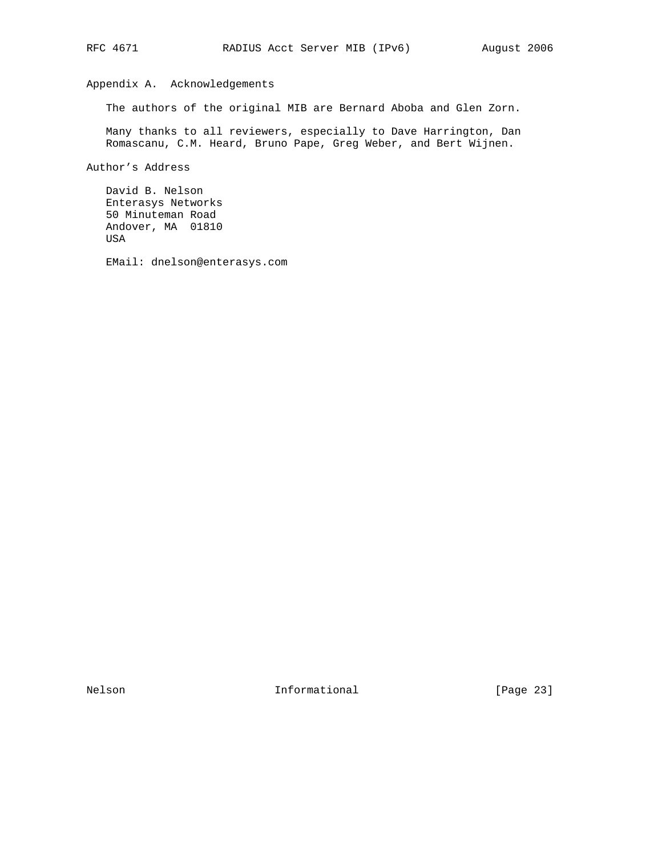# Appendix A. Acknowledgements

The authors of the original MIB are Bernard Aboba and Glen Zorn.

 Many thanks to all reviewers, especially to Dave Harrington, Dan Romascanu, C.M. Heard, Bruno Pape, Greg Weber, and Bert Wijnen.

Author's Address

 David B. Nelson Enterasys Networks 50 Minuteman Road Andover, MA 01810 USA

EMail: dnelson@enterasys.com

Nelson **Informational Informational** [Page 23]